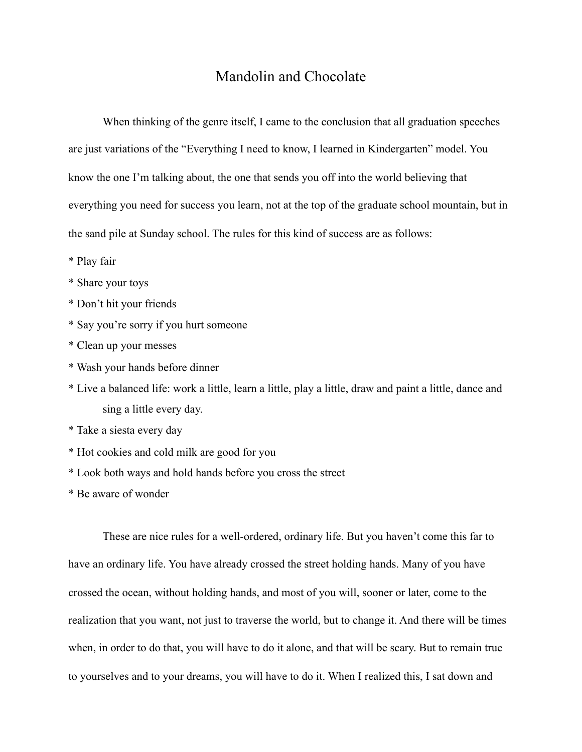## Mandolin and Chocolate

When thinking of the genre itself, I came to the conclusion that all graduation speeches are just variations of the "Everything I need to know, I learned in Kindergarten" model. You know the one I'm talking about, the one that sends you off into the world believing that everything you need for success you learn, not at the top of the graduate school mountain, but in the sand pile at Sunday school. The rules for this kind of success are as follows:

- \* Play fair
- \* Share your toys
- \* Don't hit your friends
- \* Say you're sorry if you hurt someone
- \* Clean up your messes
- \* Wash your hands before dinner
- \* Live a balanced life: work a little, learn a little, play a little, draw and paint a little, dance and sing a little every day.
- \* Take a siesta every day
- \* Hot cookies and cold milk are good for you
- \* Look both ways and hold hands before you cross the street
- \* Be aware of wonder

These are nice rules for a well-ordered, ordinary life. But you haven't come this far to have an ordinary life. You have already crossed the street holding hands. Many of you have crossed the ocean, without holding hands, and most of you will, sooner or later, come to the realization that you want, not just to traverse the world, but to change it. And there will be times when, in order to do that, you will have to do it alone, and that will be scary. But to remain true to yourselves and to your dreams, you will have to do it. When I realized this, I sat down and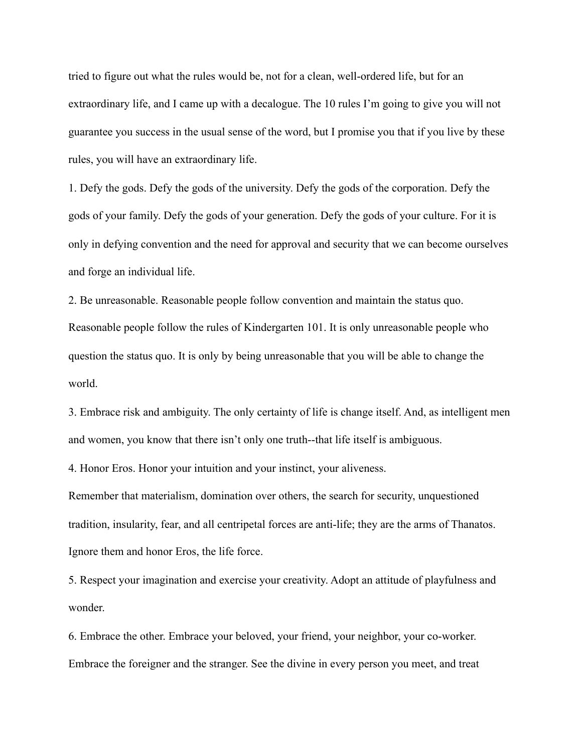tried to figure out what the rules would be, not for a clean, well-ordered life, but for an extraordinary life, and I came up with a decalogue. The 10 rules I'm going to give you will not guarantee you success in the usual sense of the word, but I promise you that if you live by these rules, you will have an extraordinary life.

1. Defy the gods. Defy the gods of the university. Defy the gods of the corporation. Defy the gods of your family. Defy the gods of your generation. Defy the gods of your culture. For it is only in defying convention and the need for approval and security that we can become ourselves and forge an individual life.

2. Be unreasonable. Reasonable people follow convention and maintain the status quo. Reasonable people follow the rules of Kindergarten 101. It is only unreasonable people who question the status quo. It is only by being unreasonable that you will be able to change the world.

3. Embrace risk and ambiguity. The only certainty of life is change itself. And, as intelligent men and women, you know that there isn't only one truth--that life itself is ambiguous.

4. Honor Eros. Honor your intuition and your instinct, your aliveness.

Remember that materialism, domination over others, the search for security, unquestioned tradition, insularity, fear, and all centripetal forces are anti-life; they are the arms of Thanatos. Ignore them and honor Eros, the life force.

5. Respect your imagination and exercise your creativity. Adopt an attitude of playfulness and wonder.

6. Embrace the other. Embrace your beloved, your friend, your neighbor, your co-worker. Embrace the foreigner and the stranger. See the divine in every person you meet, and treat